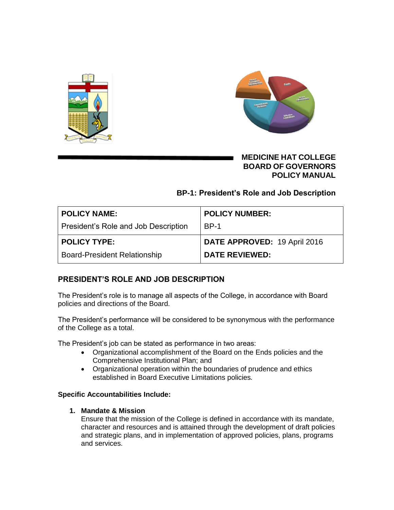



# **MEDICINE HAT COLLEGE BOARD OF GOVERNORS POLICY MANUAL**

## **BP-1: President's Role and Job Description**

| POLICY NAME:                         | <b>POLICY NUMBER:</b>        |
|--------------------------------------|------------------------------|
| President's Role and Job Description | <b>BP-1</b>                  |
| <b>POLICY TYPE:</b>                  | DATE APPROVED: 19 April 2016 |
| <b>Board-President Relationship</b>  | <b>DATE REVIEWED:</b>        |

# **PRESIDENT'S ROLE AND JOB DESCRIPTION**

The President's role is to manage all aspects of the College, in accordance with Board policies and directions of the Board.

The President's performance will be considered to be synonymous with the performance of the College as a total.

The President's job can be stated as performance in two areas:

- Organizational accomplishment of the Board on the Ends policies and the Comprehensive Institutional Plan; and
- Organizational operation within the boundaries of prudence and ethics established in Board Executive Limitations policies*.*

## **Specific Accountabilities Include:**

## **1. Mandate & Mission**

Ensure that the mission of the College is defined in accordance with its mandate, character and resources and is attained through the development of draft policies and strategic plans, and in implementation of approved policies, plans, programs and services.